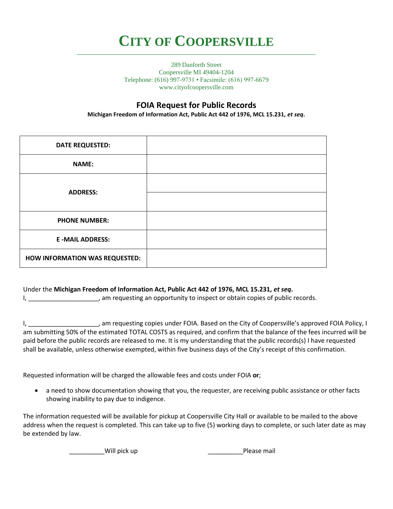## **CITY OF COOPERSVILLE \_\_\_\_\_\_\_\_\_\_\_\_\_\_\_\_\_\_\_\_\_\_\_\_\_\_\_\_\_\_\_\_\_\_\_\_\_\_\_\_\_\_\_\_\_\_\_\_\_\_\_\_\_\_\_\_\_\_\_\_\_\_\_\_\_\_\_\_\_\_\_\_\_\_\_\_\_\_\_\_\_\_\_\_\_\_\_\_\_\_\_\_\_**

289 Danforth Street Coopersville MI 49404-1204 Telephone: (616) 997-9731 • Facsimile: (616) 997-6679 www.cityofcoopersville.com

## **FOIA Request for Public Records**

**Michigan Freedom of Information Act, Public Act 442 of 1976, MCL 15.231,** *et seq***.**

| <b>DATE REQUESTED:</b>         |  |
|--------------------------------|--|
| <b>NAME:</b>                   |  |
| <b>ADDRESS:</b>                |  |
|                                |  |
| <b>PHONE NUMBER:</b>           |  |
| <b>E-MAIL ADDRESS:</b>         |  |
| HOW INFORMATION WAS REQUESTED: |  |

## Under the **Michigan Freedom of Information Act, Public Act 442 of 1976, MCL 15.231,** *et seq***.**

I, \_\_\_\_\_\_\_\_\_\_\_\_\_\_\_\_\_\_\_\_, am requesting an opportunity to inspect or obtain copies of public records.

I, \_\_\_\_\_\_\_\_\_\_\_\_\_\_\_\_\_\_\_\_\_, am requesting copies under FOIA. Based on the City of Coopersville's approved FOIA Policy, I am submitting 50% of the estimated TOTAL COSTS as required, and confirm that the balance of the fees incurred will be paid before the public records are released to me. It is my understanding that the public records(s) I have requested shall be available, unless otherwise exempted, within five business days of the City's receipt of this confirmation.

Requested information will be charged the allowable fees and costs under FOIA **or**;

 a need to show documentation showing that you, the requester, are receiving public assistance or other facts showing inability to pay due to indigence.

The information requested will be available for pickup at Coopersville City Hall or available to be mailed to the above address when the request is completed. This can take up to five (5) working days to complete, or such later date as may be extended by law.

Will pick up **Example 20** and the Please mail